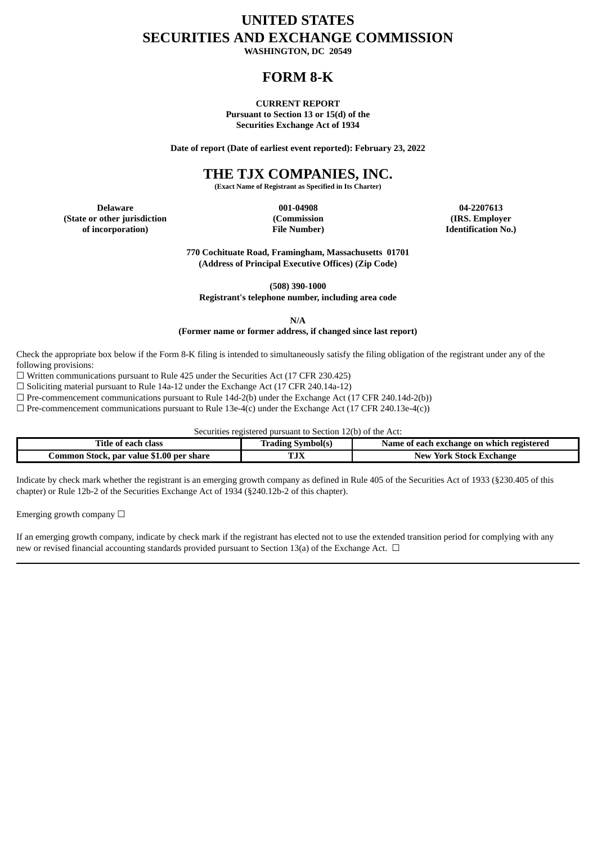# **UNITED STATES SECURITIES AND EXCHANGE COMMISSION**

**WASHINGTON, DC 20549**

# **FORM 8-K**

**CURRENT REPORT Pursuant to Section 13 or 15(d) of the Securities Exchange Act of 1934**

**Date of report (Date of earliest event reported): February 23, 2022**

# **THE TJX COMPANIES, INC.**

**(Exact Name of Registrant as Specified in Its Charter)**

**Delaware 001-04908 04-2207613 (State or other jurisdiction (Commission (IRS. Employer of incorporation) File Number) Identification No.)**

**770 Cochituate Road, Framingham, Massachusetts 01701 (Address of Principal Executive Offices) (Zip Code)**

**(508) 390-1000**

**Registrant's telephone number, including area code**

**N/A**

#### **(Former name or former address, if changed since last report)**

Check the appropriate box below if the Form 8-K filing is intended to simultaneously satisfy the filing obligation of the registrant under any of the following provisions:

☐ Written communications pursuant to Rule 425 under the Securities Act (17 CFR 230.425)

☐ Soliciting material pursuant to Rule 14a-12 under the Exchange Act (17 CFR 240.14a-12)

 $\Box$  Pre-commencement communications pursuant to Rule 14d-2(b) under the Exchange Act (17 CFR 240.14d-2(b))

 $\Box$  Pre-commencement communications pursuant to Rule 13e-4(c) under the Exchange Act (17 CFR 240.13e-4(c))

Securities registered pursuant to Section 12(b) of the Act:

| $- - -$<br>'itle<br>clas:<br>eact<br>01                    | bolt:                   | `exchange on<br>registered<br>. which<br>Name.<br>-each<br>$\mathbf{0}$ |  |  |  |  |
|------------------------------------------------------------|-------------------------|-------------------------------------------------------------------------|--|--|--|--|
| 1.00<br>. par value<br>share<br>.ommon<br>., ner<br>.5tock | <b>DO TY</b><br>1 J 7 J | 5tock.<br>Exchange<br>New<br>York                                       |  |  |  |  |

Indicate by check mark whether the registrant is an emerging growth company as defined in Rule 405 of the Securities Act of 1933 (§230.405 of this chapter) or Rule 12b-2 of the Securities Exchange Act of 1934 (§240.12b-2 of this chapter).

Emerging growth company  $\Box$ 

If an emerging growth company, indicate by check mark if the registrant has elected not to use the extended transition period for complying with any new or revised financial accounting standards provided pursuant to Section 13(a) of the Exchange Act.  $\Box$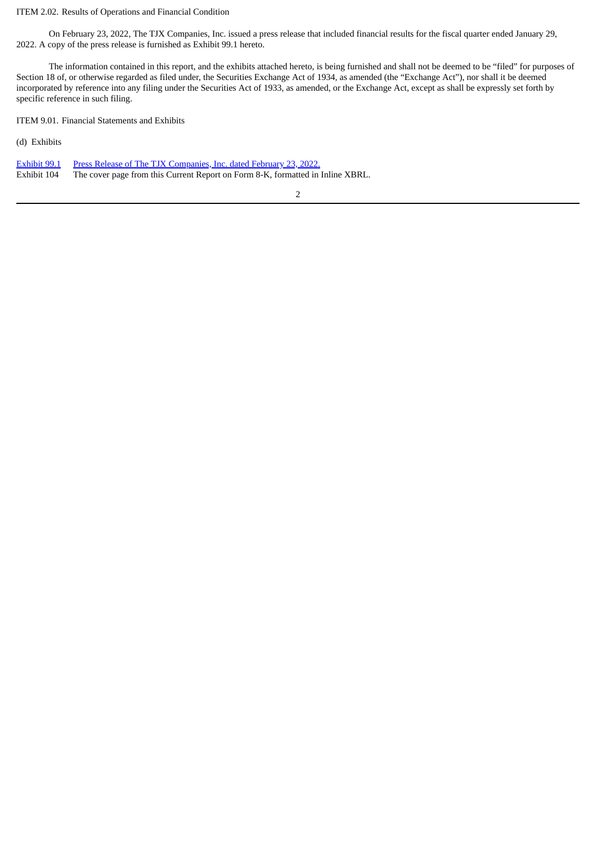#### ITEM 2.02. Results of Operations and Financial Condition

On February 23, 2022, The TJX Companies, Inc. issued a press release that included financial results for the fiscal quarter ended January 29, 2022. A copy of the press release is furnished as Exhibit 99.1 hereto.

The information contained in this report, and the exhibits attached hereto, is being furnished and shall not be deemed to be "filed" for purposes of Section 18 of, or otherwise regarded as filed under, the Securities Exchange Act of 1934, as amended (the "Exchange Act"), nor shall it be deemed incorporated by reference into any filing under the Securities Act of 1933, as amended, or the Exchange Act, except as shall be expressly set forth by specific reference in such filing.

ITEM 9.01. Financial Statements and Exhibits

(d) Exhibits

|             | <b>Exhibit 99.1</b> Press Release of The TJX Companies, Inc. dated February 23, 2022. |
|-------------|---------------------------------------------------------------------------------------|
| Exhibit 104 | The cover page from this Current Report on Form 8-K, formatted in Inline XBRL.        |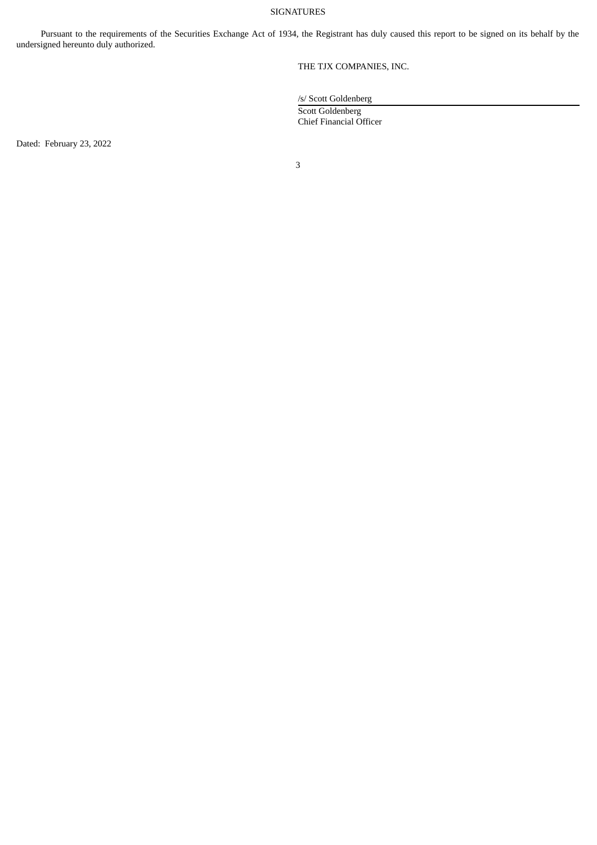#### SIGNATURES

Pursuant to the requirements of the Securities Exchange Act of 1934, the Registrant has duly caused this report to be signed on its behalf by the undersigned hereunto duly authorized.

THE TJX COMPANIES, INC.

/s/ Scott Goldenberg

Scott Goldenberg Chief Financial Officer

Dated: February 23, 2022

3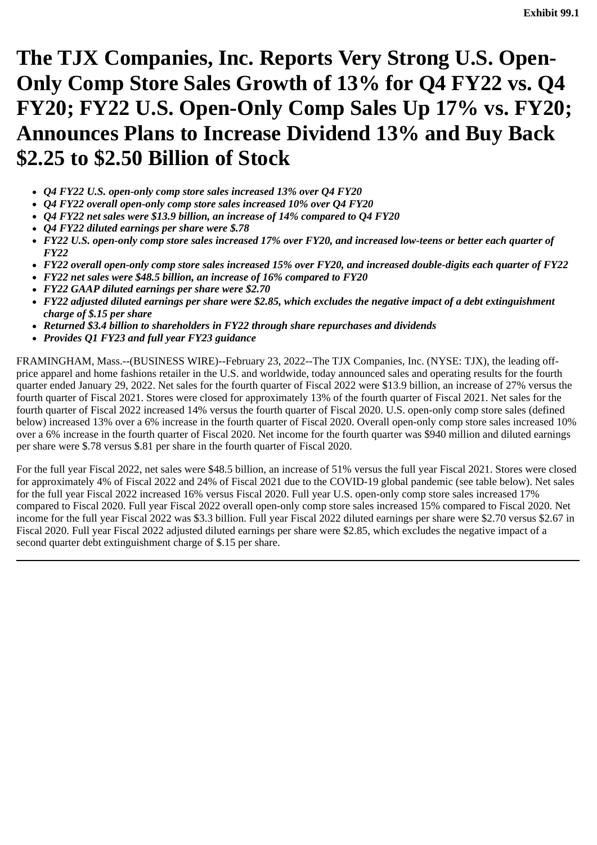<span id="page-3-0"></span>**The TJX Companies, Inc. Reports Very Strong U.S. Open-Only Comp Store Sales Growth of 13% for Q4 FY22 vs. Q4 FY20; FY22 U.S. Open-Only Comp Sales Up 17% vs. FY20; Announces Plans to Increase Dividend 13% and Buy Back \$2.25 to \$2.50 Billion of Stock**

- *Q4 FY22 U.S. open-only comp store sales increased 13% over Q4 FY20*
- *Q4 FY22 overall open-only comp store sales increased 10% over Q4 FY20*
- *Q4 FY22 net sales were \$13.9 billion, an increase of 14% compared to Q4 FY20*
- *Q4 FY22 diluted earnings per share were \$.78*
- *FY22 U.S. open-only comp store sales increased 17% over FY20, and increased low-teens or better each quarter of FY22*
- *FY22 overall open-only comp store sales increased 15% over FY20, and increased double-digits each quarter of FY22*
- *FY22 net sales were \$48.5 billion, an increase of 16% compared to FY20*
- *FY22 GAAP diluted earnings per share were \$2.70*
- *FY22 adjusted diluted earnings per share were \$2.85, which excludes the negative impact of a debt extinguishment charge of \$.15 per share*
- *Returned \$3.4 billion to shareholders in FY22 through share repurchases and dividends*
- *Provides Q1 FY23 and full year FY23 guidance*

FRAMINGHAM, Mass.--(BUSINESS WIRE)--February 23, 2022--The TJX Companies, Inc. (NYSE: TJX), the leading offprice apparel and home fashions retailer in the U.S. and worldwide, today announced sales and operating results for the fourth quarter ended January 29, 2022. Net sales for the fourth quarter of Fiscal 2022 were \$13.9 billion, an increase of 27% versus the fourth quarter of Fiscal 2021. Stores were closed for approximately 13% of the fourth quarter of Fiscal 2021. Net sales for the fourth quarter of Fiscal 2022 increased 14% versus the fourth quarter of Fiscal 2020. U.S. open-only comp store sales (defined below) increased 13% over a 6% increase in the fourth quarter of Fiscal 2020. Overall open-only comp store sales increased 10% over a 6% increase in the fourth quarter of Fiscal 2020. Net income for the fourth quarter was \$940 million and diluted earnings per share were \$.78 versus \$.81 per share in the fourth quarter of Fiscal 2020.

For the full year Fiscal 2022, net sales were \$48.5 billion, an increase of 51% versus the full year Fiscal 2021. Stores were closed for approximately 4% of Fiscal 2022 and 24% of Fiscal 2021 due to the COVID-19 global pandemic (see table below). Net sales for the full year Fiscal 2022 increased 16% versus Fiscal 2020. Full year U.S. open-only comp store sales increased 17% compared to Fiscal 2020. Full year Fiscal 2022 overall open-only comp store sales increased 15% compared to Fiscal 2020. Net income for the full year Fiscal 2022 was \$3.3 billion. Full year Fiscal 2022 diluted earnings per share were \$2.70 versus \$2.67 in Fiscal 2020. Full year Fiscal 2022 adjusted diluted earnings per share were \$2.85, which excludes the negative impact of a second quarter debt extinguishment charge of \$.15 per share.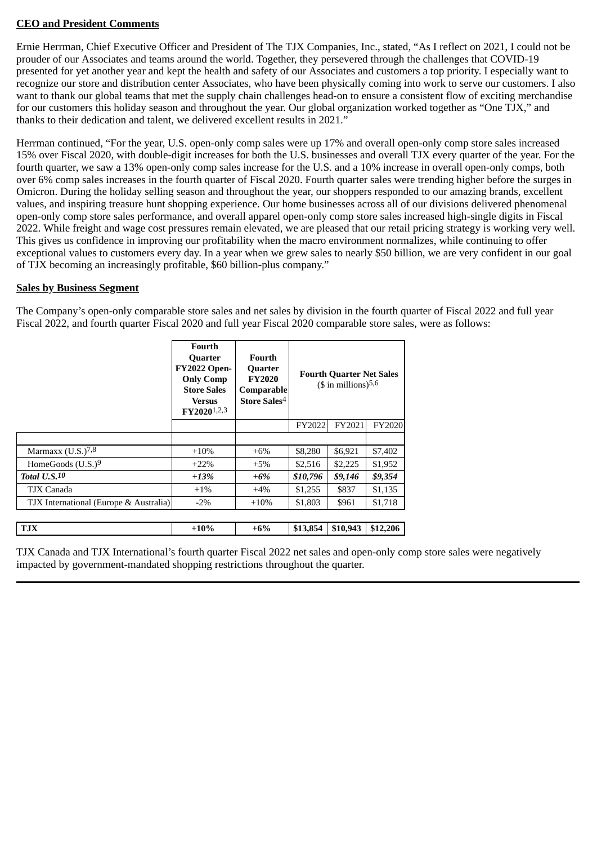# **CEO and President Comments**

Ernie Herrman, Chief Executive Officer and President of The TJX Companies, Inc., stated, "As I reflect on 2021, I could not be prouder of our Associates and teams around the world. Together, they persevered through the challenges that COVID-19 presented for yet another year and kept the health and safety of our Associates and customers a top priority. I especially want to recognize our store and distribution center Associates, who have been physically coming into work to serve our customers. I also want to thank our global teams that met the supply chain challenges head-on to ensure a consistent flow of exciting merchandise for our customers this holiday season and throughout the year. Our global organization worked together as "One TJX," and thanks to their dedication and talent, we delivered excellent results in 2021."

Herrman continued, "For the year, U.S. open-only comp sales were up 17% and overall open-only comp store sales increased 15% over Fiscal 2020, with double-digit increases for both the U.S. businesses and overall TJX every quarter of the year. For the fourth quarter, we saw a 13% open-only comp sales increase for the U.S. and a 10% increase in overall open-only comps, both over 6% comp sales increases in the fourth quarter of Fiscal 2020. Fourth quarter sales were trending higher before the surges in Omicron. During the holiday selling season and throughout the year, our shoppers responded to our amazing brands, excellent values, and inspiring treasure hunt shopping experience. Our home businesses across all of our divisions delivered phenomenal open-only comp store sales performance, and overall apparel open-only comp store sales increased high-single digits in Fiscal 2022. While freight and wage cost pressures remain elevated, we are pleased that our retail pricing strategy is working very well. This gives us confidence in improving our profitability when the macro environment normalizes, while continuing to offer exceptional values to customers every day. In a year when we grew sales to nearly \$50 billion, we are very confident in our goal of TJX becoming an increasingly profitable, \$60 billion-plus company."

### **Sales by Business Segment**

The Company's open-only comparable store sales and net sales by division in the fourth quarter of Fiscal 2022 and full year Fiscal 2022, and fourth quarter Fiscal 2020 and full year Fiscal 2020 comparable store sales, were as follows:

|                                        | Fourth<br><b>Quarter</b><br><b>FY2022 Open-</b><br><b>Only Comp</b><br><b>Store Sales</b><br>Versus<br>FY2020 <sup>1,2,3</sup> | Fourth<br><b>Quarter</b><br><b>FY2020</b><br>Comparable<br>Store Sales <sup>4</sup> |                  | <b>Fourth Quarter Net Sales</b><br>$($$ in millions) <sup>5,6</sup> |               |  |
|----------------------------------------|--------------------------------------------------------------------------------------------------------------------------------|-------------------------------------------------------------------------------------|------------------|---------------------------------------------------------------------|---------------|--|
|                                        |                                                                                                                                |                                                                                     | FY2022<br>FY2021 |                                                                     | <b>FY2020</b> |  |
|                                        |                                                                                                                                |                                                                                     |                  |                                                                     |               |  |
| Marmaxx $(U.S.)^{7,8}$                 | $+10\%$                                                                                                                        | $+6\%$                                                                              | \$8,280          | \$6,921                                                             | \$7,402       |  |
| HomeGoods $(U.S.)9$                    | $+22\%$                                                                                                                        | $+5\%$                                                                              | \$2,516          | \$2,225                                                             | \$1,952       |  |
| Total $U.S.$ <sup>10</sup>             | $+13%$                                                                                                                         | $+6\%$                                                                              | \$10,796         | \$9,146                                                             | \$9,354       |  |
| TJX Canada                             | $+1\%$                                                                                                                         | $+4\%$                                                                              | \$1,255          | \$837                                                               | \$1,135       |  |
| TJX International (Europe & Australia) | $-2\%$                                                                                                                         | $+10%$                                                                              | \$1,803          | \$961                                                               | \$1,718       |  |
|                                        |                                                                                                                                |                                                                                     |                  |                                                                     |               |  |
| <b>TJX</b>                             | $+10%$                                                                                                                         | $+6\%$                                                                              | \$13,854         | \$10,943                                                            | \$12,206      |  |

TJX Canada and TJX International's fourth quarter Fiscal 2022 net sales and open-only comp store sales were negatively impacted by government-mandated shopping restrictions throughout the quarter.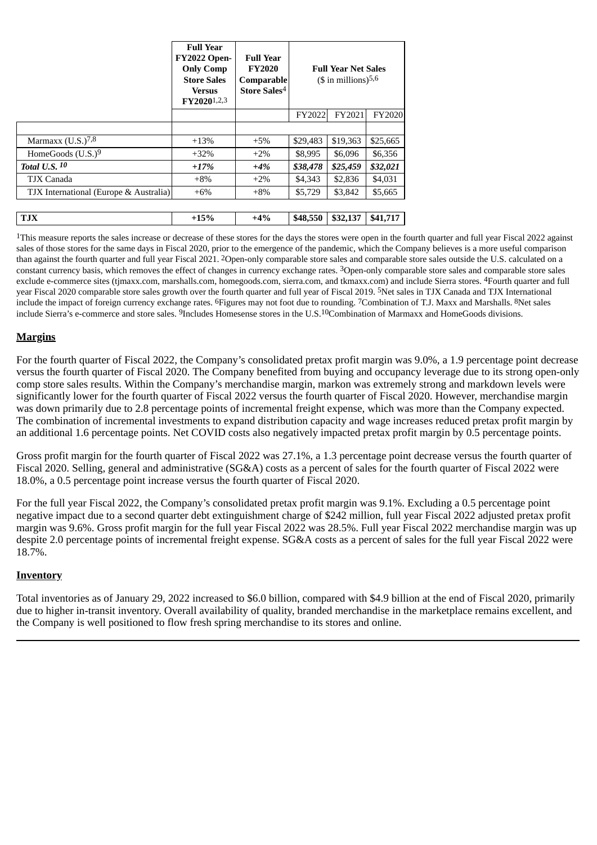|                                        | <b>Full Year</b><br><b>FY2022 Open-</b><br><b>Only Comp</b><br><b>Store Sales</b><br><b>Versus</b><br>FY20201,2,3 | <b>Full Year</b><br><b>FY2020</b><br>Comparable<br>Store Sales <sup>4</sup> |          | <b>Full Year Net Sales</b><br>$($$ in millions) <sup>5,6</sup> |               |
|----------------------------------------|-------------------------------------------------------------------------------------------------------------------|-----------------------------------------------------------------------------|----------|----------------------------------------------------------------|---------------|
|                                        |                                                                                                                   |                                                                             | FY2022   | FY2021                                                         | <b>FY2020</b> |
|                                        |                                                                                                                   |                                                                             |          |                                                                |               |
| Marmaxx $(U.S.)^{7,8}$                 | $+13%$                                                                                                            | $+5%$                                                                       | \$29,483 | \$19,363                                                       | \$25,665      |
| HomeGoods $(U.S.)^9$                   | $+32\%$                                                                                                           | $+2\%$                                                                      | \$8,995  | \$6,096                                                        | \$6,356       |
| <b>Total U.S. 10</b>                   | $+17%$                                                                                                            | $+4\%$                                                                      | \$38,478 | \$25,459                                                       | \$32,021      |
| TJX Canada                             | $+8\%$                                                                                                            | $+2\%$                                                                      | \$4,343  | \$2,836                                                        | \$4,031       |
| TJX International (Europe & Australia) | $+6\%$                                                                                                            | $+8\%$                                                                      | \$5,729  | \$3,842                                                        | \$5,665       |
|                                        |                                                                                                                   |                                                                             |          |                                                                |               |
| <b>TJX</b>                             | $+15%$                                                                                                            | $+4%$                                                                       | \$48,550 | \$32,137                                                       | \$41,717      |

<sup>1</sup>This measure reports the sales increase or decrease of these stores for the days the stores were open in the fourth quarter and full year Fiscal 2022 against sales of those stores for the same days in Fiscal 2020, prior to the emergence of the pandemic, which the Company believes is a more useful comparison than against the fourth quarter and full year Fiscal 2021. 2Open-only comparable store sales and comparable store sales outside the U.S. calculated on a constant currency basis, which removes the effect of changes in currency exchange rates. 3Open-only comparable store sales and comparable store sales exclude e-commerce sites (tjmaxx.com, marshalls.com, homegoods.com, sierra.com, and tkmaxx.com) and include Sierra stores. 4Fourth quarter and full year Fiscal 2020 comparable store sales growth over the fourth quarter and full year of Fiscal 2019. 5Net sales in TJX Canada and TJX International include the impact of foreign currency exchange rates. 6Figures may not foot due to rounding. 7Combination of T.J. Maxx and Marshalls. 8Net sales include Sierra's e-commerce and store sales. 9Includes Homesense stores in the U.S.10Combination of Marmaxx and HomeGoods divisions.

## **Margins**

For the fourth quarter of Fiscal 2022, the Company's consolidated pretax profit margin was 9.0%, a 1.9 percentage point decrease versus the fourth quarter of Fiscal 2020. The Company benefited from buying and occupancy leverage due to its strong open-only comp store sales results. Within the Company's merchandise margin, markon was extremely strong and markdown levels were significantly lower for the fourth quarter of Fiscal 2022 versus the fourth quarter of Fiscal 2020. However, merchandise margin was down primarily due to 2.8 percentage points of incremental freight expense, which was more than the Company expected. The combination of incremental investments to expand distribution capacity and wage increases reduced pretax profit margin by an additional 1.6 percentage points. Net COVID costs also negatively impacted pretax profit margin by 0.5 percentage points.

Gross profit margin for the fourth quarter of Fiscal 2022 was 27.1%, a 1.3 percentage point decrease versus the fourth quarter of Fiscal 2020. Selling, general and administrative (SG&A) costs as a percent of sales for the fourth quarter of Fiscal 2022 were 18.0%, a 0.5 percentage point increase versus the fourth quarter of Fiscal 2020.

For the full year Fiscal 2022, the Company's consolidated pretax profit margin was 9.1%. Excluding a 0.5 percentage point negative impact due to a second quarter debt extinguishment charge of \$242 million, full year Fiscal 2022 adjusted pretax profit margin was 9.6%. Gross profit margin for the full year Fiscal 2022 was 28.5%. Full year Fiscal 2022 merchandise margin was up despite 2.0 percentage points of incremental freight expense. SG&A costs as a percent of sales for the full year Fiscal 2022 were 18.7%.

### **Inventory**

Total inventories as of January 29, 2022 increased to \$6.0 billion, compared with \$4.9 billion at the end of Fiscal 2020, primarily due to higher in-transit inventory. Overall availability of quality, branded merchandise in the marketplace remains excellent, and the Company is well positioned to flow fresh spring merchandise to its stores and online.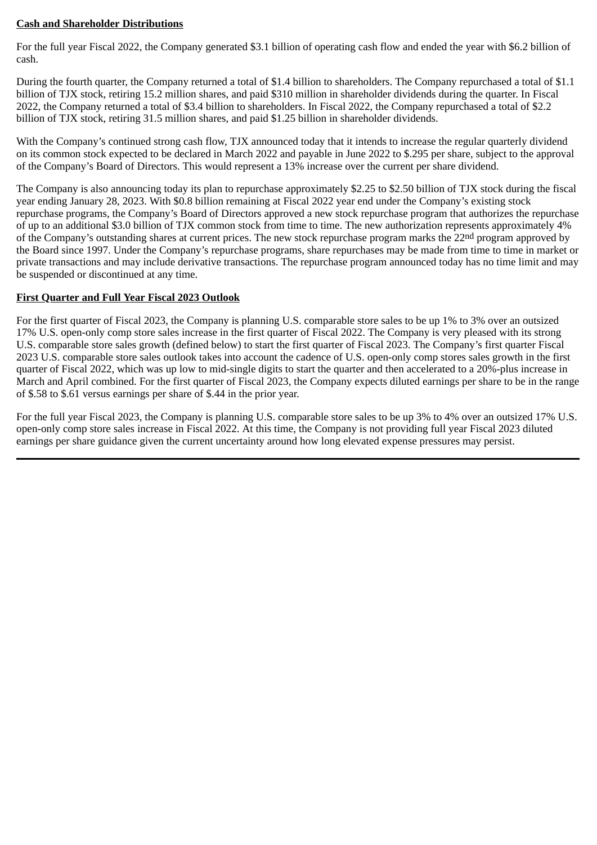## **Cash and Shareholder Distributions**

For the full year Fiscal 2022, the Company generated \$3.1 billion of operating cash flow and ended the year with \$6.2 billion of cash.

During the fourth quarter, the Company returned a total of \$1.4 billion to shareholders. The Company repurchased a total of \$1.1 billion of TJX stock, retiring 15.2 million shares, and paid \$310 million in shareholder dividends during the quarter. In Fiscal 2022, the Company returned a total of \$3.4 billion to shareholders. In Fiscal 2022, the Company repurchased a total of \$2.2 billion of TJX stock, retiring 31.5 million shares, and paid \$1.25 billion in shareholder dividends.

With the Company's continued strong cash flow, TJX announced today that it intends to increase the regular quarterly dividend on its common stock expected to be declared in March 2022 and payable in June 2022 to \$.295 per share, subject to the approval of the Company's Board of Directors. This would represent a 13% increase over the current per share dividend.

The Company is also announcing today its plan to repurchase approximately \$2.25 to \$2.50 billion of TJX stock during the fiscal year ending January 28, 2023. With \$0.8 billion remaining at Fiscal 2022 year end under the Company's existing stock repurchase programs, the Company's Board of Directors approved a new stock repurchase program that authorizes the repurchase of up to an additional \$3.0 billion of TJX common stock from time to time. The new authorization represents approximately 4% of the Company's outstanding shares at current prices. The new stock repurchase program marks the 22<sup>nd</sup> program approved by the Board since 1997. Under the Company's repurchase programs, share repurchases may be made from time to time in market or private transactions and may include derivative transactions. The repurchase program announced today has no time limit and may be suspended or discontinued at any time.

## **First Quarter and Full Year Fiscal 2023 Outlook**

For the first quarter of Fiscal 2023, the Company is planning U.S. comparable store sales to be up 1% to 3% over an outsized 17% U.S. open-only comp store sales increase in the first quarter of Fiscal 2022. The Company is very pleased with its strong U.S. comparable store sales growth (defined below) to start the first quarter of Fiscal 2023. The Company's first quarter Fiscal 2023 U.S. comparable store sales outlook takes into account the cadence of U.S. open-only comp stores sales growth in the first quarter of Fiscal 2022, which was up low to mid-single digits to start the quarter and then accelerated to a 20%-plus increase in March and April combined. For the first quarter of Fiscal 2023, the Company expects diluted earnings per share to be in the range of \$.58 to \$.61 versus earnings per share of \$.44 in the prior year.

For the full year Fiscal 2023, the Company is planning U.S. comparable store sales to be up 3% to 4% over an outsized 17% U.S. open-only comp store sales increase in Fiscal 2022. At this time, the Company is not providing full year Fiscal 2023 diluted earnings per share guidance given the current uncertainty around how long elevated expense pressures may persist.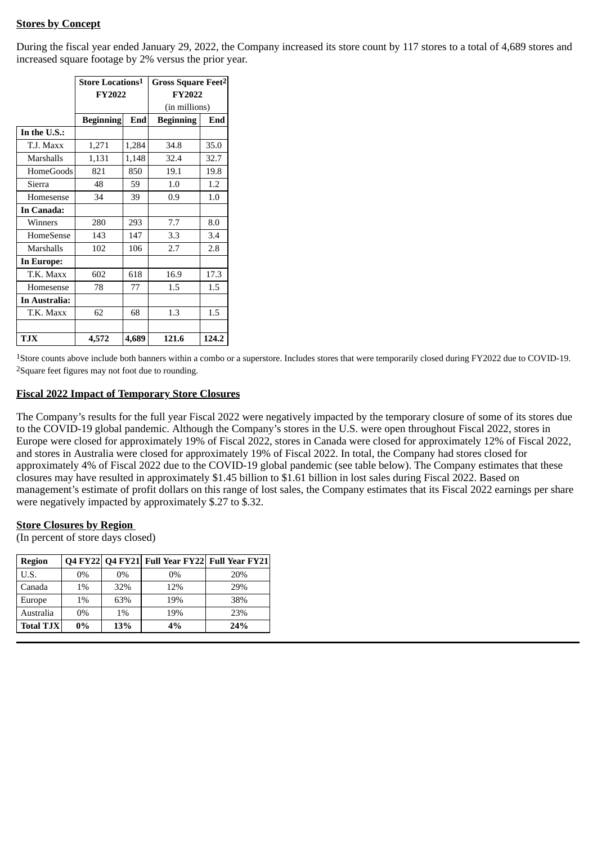# **Stores by Concept**

During the fiscal year ended January 29, 2022, the Company increased its store count by 117 stores to a total of 4,689 stores and increased square footage by 2% versus the prior year.

|                  | Store Locations <sup>1</sup> |       | Gross Square Feet <sup>2</sup> |       |  |  |
|------------------|------------------------------|-------|--------------------------------|-------|--|--|
|                  | <b>FY2022</b>                |       | <b>FY2022</b>                  |       |  |  |
|                  |                              |       | (in millions)                  |       |  |  |
|                  | <b>Beginning</b>             | End   | <b>Beginning</b>               | End   |  |  |
| In the U.S.:     |                              |       |                                |       |  |  |
| T.J. Maxx        | 1,271                        | 1,284 | 34.8                           | 35.0  |  |  |
| <b>Marshalls</b> | 1,131                        | 1,148 | 32.4                           | 32.7  |  |  |
| <b>HomeGoods</b> | 821                          | 850   | 19.1                           | 19.8  |  |  |
| Sierra           | 48                           | 59    | 1.0                            | 1.2   |  |  |
| Homesense        | 34                           | 39    | 0.9                            | 1.0   |  |  |
| In Canada:       |                              |       |                                |       |  |  |
| Winners          | 280                          | 293   | 7.7                            | 8.0   |  |  |
| <b>HomeSense</b> | 143                          | 147   | 3.3                            | 3.4   |  |  |
| Marshalls        | 102                          | 106   | 2.7                            | 2.8   |  |  |
| In Europe:       |                              |       |                                |       |  |  |
| T.K. Maxx        | 602                          | 618   | 16.9                           | 17.3  |  |  |
| Homesense        | 78                           | 77    | 1.5                            | 1.5   |  |  |
| In Australia:    |                              |       |                                |       |  |  |
| T.K. Maxx        | 62                           | 68    | 1.3                            | 1.5   |  |  |
|                  |                              |       |                                |       |  |  |
| <b>TJX</b>       | 4,572                        | 4,689 | 121.6                          | 124.2 |  |  |

1Store counts above include both banners within a combo or a superstore. Includes stores that were temporarily closed during FY2022 due to COVID-19. 2Square feet figures may not foot due to rounding.

#### **Fiscal 2022 Impact of Temporary Store Closures**

The Company's results for the full year Fiscal 2022 were negatively impacted by the temporary closure of some of its stores due to the COVID-19 global pandemic. Although the Company's stores in the U.S. were open throughout Fiscal 2022, stores in Europe were closed for approximately 19% of Fiscal 2022, stores in Canada were closed for approximately 12% of Fiscal 2022, and stores in Australia were closed for approximately 19% of Fiscal 2022. In total, the Company had stores closed for approximately 4% of Fiscal 2022 due to the COVID-19 global pandemic (see table below). The Company estimates that these closures may have resulted in approximately \$1.45 billion to \$1.61 billion in lost sales during Fiscal 2022. Based on management's estimate of profit dollars on this range of lost sales, the Company estimates that its Fiscal 2022 earnings per share were negatively impacted by approximately \$.27 to \$.32.

### **Store Closures by Region**

(In percent of store days closed)

| <b>Region</b>    |                       |       | Q4 FY22 Q4 FY21 Full Year FY22 Full Year FY21 |     |
|------------------|-----------------------|-------|-----------------------------------------------|-----|
| U.S.             | $0\%$                 | $0\%$ | $0\%$                                         | 20% |
| Canada           | $1\%$                 | 32%   | 29%                                           |     |
| Europe           | 1%                    | 63%   | 19%                                           | 38% |
| Australia        | $0\%$<br>$1\%$<br>19% |       | 23%                                           |     |
| <b>Total TJX</b> | $0\%$                 | 13%   | 4%                                            | 24% |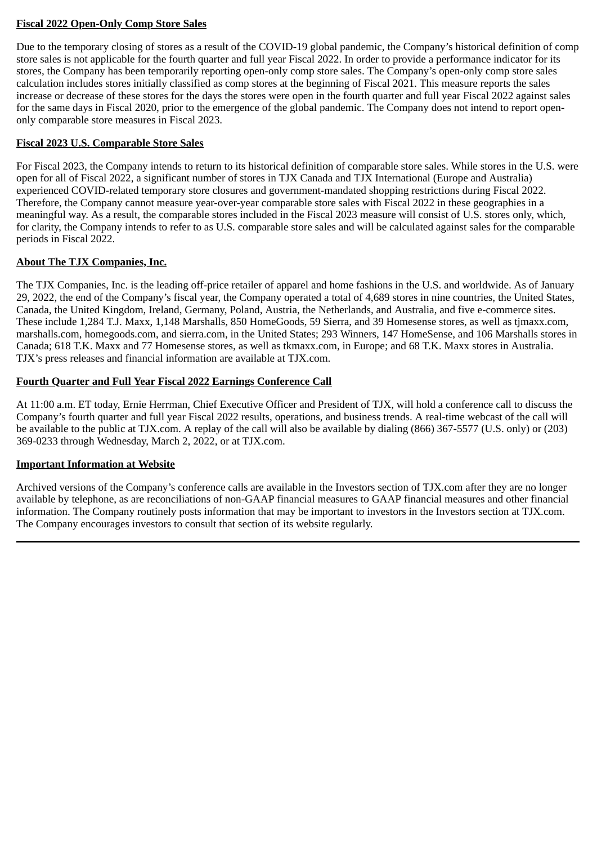# **Fiscal 2022 Open-Only Comp Store Sales**

Due to the temporary closing of stores as a result of the COVID-19 global pandemic, the Company's historical definition of comp store sales is not applicable for the fourth quarter and full year Fiscal 2022. In order to provide a performance indicator for its stores, the Company has been temporarily reporting open-only comp store sales. The Company's open-only comp store sales calculation includes stores initially classified as comp stores at the beginning of Fiscal 2021. This measure reports the sales increase or decrease of these stores for the days the stores were open in the fourth quarter and full year Fiscal 2022 against sales for the same days in Fiscal 2020, prior to the emergence of the global pandemic. The Company does not intend to report openonly comparable store measures in Fiscal 2023.

# **Fiscal 2023 U.S. Comparable Store Sales**

For Fiscal 2023, the Company intends to return to its historical definition of comparable store sales. While stores in the U.S. were open for all of Fiscal 2022, a significant number of stores in TJX Canada and TJX International (Europe and Australia) experienced COVID-related temporary store closures and government-mandated shopping restrictions during Fiscal 2022. Therefore, the Company cannot measure year-over-year comparable store sales with Fiscal 2022 in these geographies in a meaningful way. As a result, the comparable stores included in the Fiscal 2023 measure will consist of U.S. stores only, which, for clarity, the Company intends to refer to as U.S. comparable store sales and will be calculated against sales for the comparable periods in Fiscal 2022.

## **About The TJX Companies, Inc.**

The TJX Companies, Inc. is the leading off-price retailer of apparel and home fashions in the U.S. and worldwide. As of January 29, 2022, the end of the Company's fiscal year, the Company operated a total of 4,689 stores in nine countries, the United States, Canada, the United Kingdom, Ireland, Germany, Poland, Austria, the Netherlands, and Australia, and five e-commerce sites. These include 1,284 T.J. Maxx, 1,148 Marshalls, 850 HomeGoods, 59 Sierra, and 39 Homesense stores, as well as tjmaxx.com, marshalls.com, homegoods.com, and sierra.com, in the United States; 293 Winners, 147 HomeSense, and 106 Marshalls stores in Canada; 618 T.K. Maxx and 77 Homesense stores, as well as tkmaxx.com, in Europe; and 68 T.K. Maxx stores in Australia. TJX's press releases and financial information are available at TJX.com.

## **Fourth Quarter and Full Year Fiscal 2022 Earnings Conference Call**

At 11:00 a.m. ET today, Ernie Herrman, Chief Executive Officer and President of TJX, will hold a conference call to discuss the Company's fourth quarter and full year Fiscal 2022 results, operations, and business trends. A real-time webcast of the call will be available to the public at TJX.com. A replay of the call will also be available by dialing (866) 367-5577 (U.S. only) or (203) 369-0233 through Wednesday, March 2, 2022, or at TJX.com.

### **Important Information at Website**

Archived versions of the Company's conference calls are available in the Investors section of TJX.com after they are no longer available by telephone, as are reconciliations of non-GAAP financial measures to GAAP financial measures and other financial information. The Company routinely posts information that may be important to investors in the Investors section at TJX.com. The Company encourages investors to consult that section of its website regularly.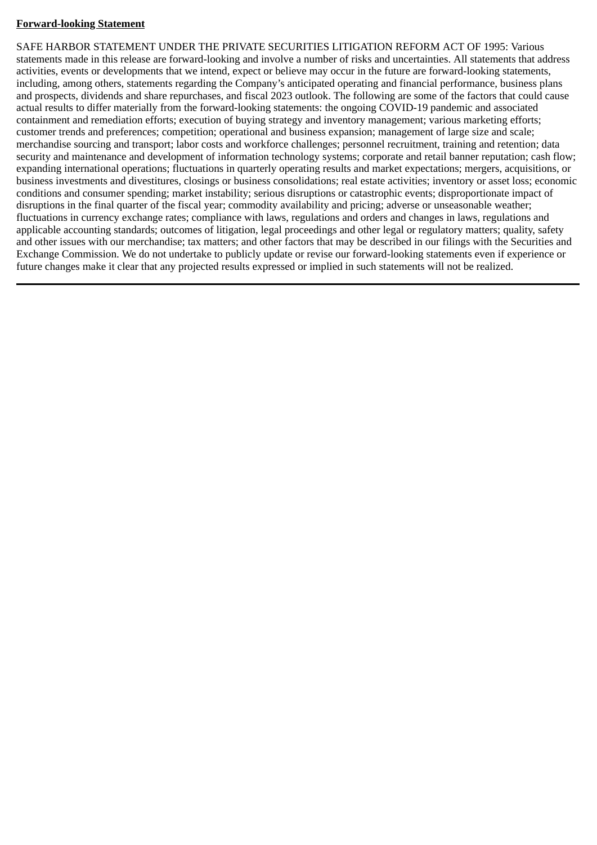# **Forward-looking Statement**

SAFE HARBOR STATEMENT UNDER THE PRIVATE SECURITIES LITIGATION REFORM ACT OF 1995: Various statements made in this release are forward-looking and involve a number of risks and uncertainties. All statements that address activities, events or developments that we intend, expect or believe may occur in the future are forward-looking statements, including, among others, statements regarding the Company's anticipated operating and financial performance, business plans and prospects, dividends and share repurchases, and fiscal 2023 outlook. The following are some of the factors that could cause actual results to differ materially from the forward-looking statements: the ongoing COVID-19 pandemic and associated containment and remediation efforts; execution of buying strategy and inventory management; various marketing efforts; customer trends and preferences; competition; operational and business expansion; management of large size and scale; merchandise sourcing and transport; labor costs and workforce challenges; personnel recruitment, training and retention; data security and maintenance and development of information technology systems; corporate and retail banner reputation; cash flow; expanding international operations; fluctuations in quarterly operating results and market expectations; mergers, acquisitions, or business investments and divestitures, closings or business consolidations; real estate activities; inventory or asset loss; economic conditions and consumer spending; market instability; serious disruptions or catastrophic events; disproportionate impact of disruptions in the final quarter of the fiscal year; commodity availability and pricing; adverse or unseasonable weather; fluctuations in currency exchange rates; compliance with laws, regulations and orders and changes in laws, regulations and applicable accounting standards; outcomes of litigation, legal proceedings and other legal or regulatory matters; quality, safety and other issues with our merchandise; tax matters; and other factors that may be described in our filings with the Securities and Exchange Commission. We do not undertake to publicly update or revise our forward-looking statements even if experience or future changes make it clear that any projected results expressed or implied in such statements will not be realized.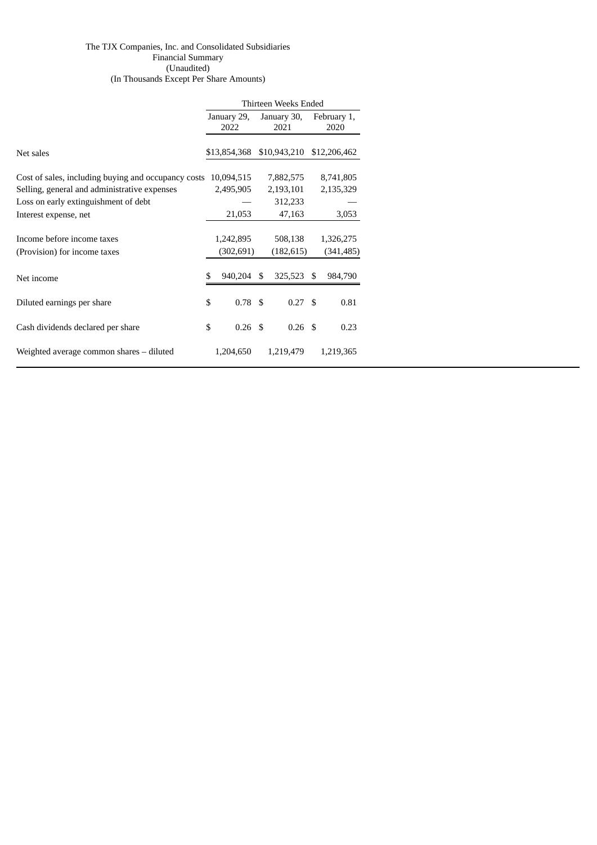#### The TJX Companies, Inc. and Consolidated Subsidiaries Financial Summary (Unaudited) (In Thousands Except Per Share Amounts)

|                                                     | Thirteen Weeks Ended |                   |      |                           |  |              |  |
|-----------------------------------------------------|----------------------|-------------------|------|---------------------------|--|--------------|--|
|                                                     |                      | January 29,       |      | January 30,               |  | February 1,  |  |
|                                                     |                      | 2022              | 2021 |                           |  | 2020         |  |
|                                                     |                      |                   |      |                           |  |              |  |
| Net sales                                           |                      |                   |      | \$13,854,368 \$10,943,210 |  | \$12,206,462 |  |
|                                                     |                      |                   |      |                           |  |              |  |
| Cost of sales, including buying and occupancy costs |                      | 10,094,515        |      | 7,882,575                 |  | 8,741,805    |  |
| Selling, general and administrative expenses        |                      | 2,495,905         |      | 2,193,101                 |  | 2,135,329    |  |
| Loss on early extinguishment of debt                |                      |                   |      | 312,233                   |  |              |  |
| Interest expense, net                               |                      | 21,053            |      | 47,163                    |  | 3,053        |  |
|                                                     |                      |                   |      |                           |  |              |  |
| Income before income taxes                          |                      | 1,242,895         |      | 508,138                   |  | 1,326,275    |  |
| (Provision) for income taxes                        |                      | (302, 691)        |      | (182, 615)                |  | (341, 485)   |  |
|                                                     |                      |                   |      |                           |  |              |  |
| Net income                                          | \$.                  | 940,204 \$        |      | 325,523 \$                |  | 984,790      |  |
|                                                     |                      |                   |      |                           |  |              |  |
| Diluted earnings per share                          | \$                   | 0.78 <sup>5</sup> |      | 0.27 <sup>5</sup>         |  | 0.81         |  |
|                                                     |                      |                   |      |                           |  |              |  |
| Cash dividends declared per share                   | \$                   | 0.26 <sup>5</sup> |      | $0.26$ \$                 |  | 0.23         |  |
|                                                     |                      |                   |      |                           |  |              |  |
| Weighted average common shares – diluted            |                      | 1,204,650         |      | 1,219,479                 |  | 1,219,365    |  |
|                                                     |                      |                   |      |                           |  |              |  |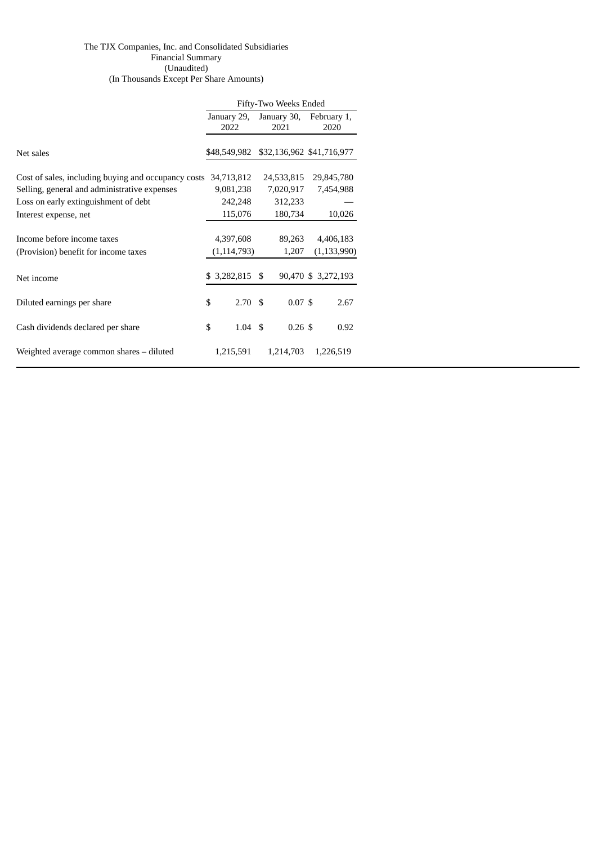#### The TJX Companies, Inc. and Consolidated Subsidiaries Financial Summary (Unaudited) (In Thousands Except Per Share Amounts)

|                                                     | Fifty-Two Weeks Ended   |             |                           |  |  |  |  |
|-----------------------------------------------------|-------------------------|-------------|---------------------------|--|--|--|--|
|                                                     | January 29,             | January 30, | February 1,               |  |  |  |  |
|                                                     | 2022                    | 2021        | 2020                      |  |  |  |  |
|                                                     |                         |             |                           |  |  |  |  |
| Net sales                                           | \$48,549,982            |             | \$32,136,962 \$41,716,977 |  |  |  |  |
|                                                     |                         |             |                           |  |  |  |  |
| Cost of sales, including buying and occupancy costs | 34,713,812              | 24,533,815  | 29,845,780                |  |  |  |  |
| Selling, general and administrative expenses        | 9,081,238               | 7,020,917   | 7,454,988                 |  |  |  |  |
| Loss on early extinguishment of debt                | 242,248                 | 312,233     |                           |  |  |  |  |
| Interest expense, net                               | 115,076                 | 180,734     | 10,026                    |  |  |  |  |
|                                                     |                         |             |                           |  |  |  |  |
| Income before income taxes                          | 4,397,608               | 89,263      | 4,406,183                 |  |  |  |  |
| (Provision) benefit for income taxes                | (1, 114, 793)           | 1,207       | (1, 133, 990)             |  |  |  |  |
|                                                     |                         |             |                           |  |  |  |  |
| Net income                                          | $$3,282,815$ \$         |             | 90,470 \$ 3,272,193       |  |  |  |  |
|                                                     |                         |             |                           |  |  |  |  |
| Diluted earnings per share                          | \$<br>2.70 <sup>5</sup> | 0.07S       | 2.67                      |  |  |  |  |
|                                                     |                         |             |                           |  |  |  |  |
| Cash dividends declared per share                   | \$<br>$1.04 \text{ } $$ | $0.26$ \$   | 0.92                      |  |  |  |  |
|                                                     |                         |             |                           |  |  |  |  |
| Weighted average common shares – diluted            | 1,215,591               | 1,214,703   | 1,226,519                 |  |  |  |  |
|                                                     |                         |             |                           |  |  |  |  |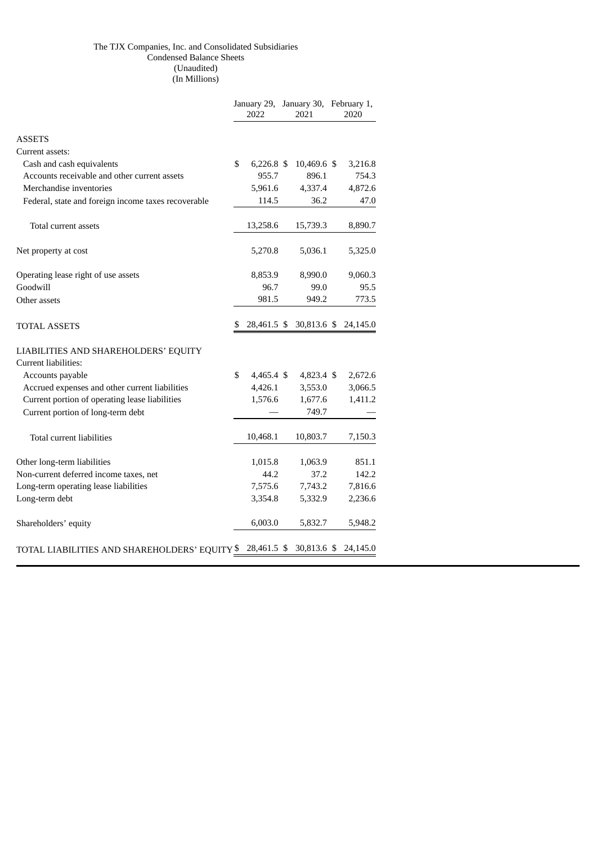#### The TJX Companies, Inc. and Consolidated Subsidiaries Condensed Balance Sheets (Unaudited) (In Millions)

|                                                     |    | 2022         |  | January 29, January 30, February 1,<br>2021 |  | 2020     |
|-----------------------------------------------------|----|--------------|--|---------------------------------------------|--|----------|
| <b>ASSETS</b>                                       |    |              |  |                                             |  |          |
| Current assets:                                     |    |              |  |                                             |  |          |
| Cash and cash equivalents                           | \$ | $6,226.8$ \$ |  | 10,469.6 \$                                 |  | 3,216.8  |
| Accounts receivable and other current assets        |    | 955.7        |  | 896.1                                       |  | 754.3    |
| Merchandise inventories                             |    | 5,961.6      |  | 4,337.4                                     |  | 4,872.6  |
| Federal, state and foreign income taxes recoverable |    | 114.5        |  | 36.2                                        |  | 47.0     |
| Total current assets                                |    | 13,258.6     |  | 15,739.3                                    |  | 8,890.7  |
| Net property at cost                                |    | 5,270.8      |  | 5,036.1                                     |  | 5,325.0  |
| Operating lease right of use assets                 |    | 8,853.9      |  | 8,990.0                                     |  | 9,060.3  |
| Goodwill                                            |    | 96.7         |  | 99.0                                        |  | 95.5     |
| Other assets                                        |    | 981.5        |  | 949.2                                       |  | 773.5    |
| <b>TOTAL ASSETS</b>                                 | S  | 28,461.5 \$  |  | 30,813.6 \$                                 |  | 24,145.0 |
| LIABILITIES AND SHAREHOLDERS' EQUITY                |    |              |  |                                             |  |          |
| Current liabilities:                                |    |              |  |                                             |  |          |
| Accounts payable                                    | \$ | $4,465.4$ \$ |  | 4,823.4 \$                                  |  | 2,672.6  |
| Accrued expenses and other current liabilities      |    | 4,426.1      |  | 3,553.0                                     |  | 3,066.5  |
| Current portion of operating lease liabilities      |    | 1,576.6      |  | 1,677.6                                     |  | 1,411.2  |
| Current portion of long-term debt                   |    |              |  | 749.7                                       |  |          |
| Total current liabilities                           |    | 10,468.1     |  | 10,803.7                                    |  | 7,150.3  |
| Other long-term liabilities                         |    | 1,015.8      |  | 1,063.9                                     |  | 851.1    |
| Non-current deferred income taxes, net              |    | 44.2         |  | 37.2                                        |  | 142.2    |
| Long-term operating lease liabilities               |    | 7,575.6      |  | 7,743.2                                     |  | 7,816.6  |
| Long-term debt                                      |    | 3,354.8      |  | 5,332.9                                     |  | 2,236.6  |
| Shareholders' equity                                |    | 6,003.0      |  | 5,832.7                                     |  | 5,948.2  |
| TOTAL LIABILITIES AND SHAREHOLDERS' EQUITY $\$$     |    | 28,461.5 \$  |  | 30,813.6 \$                                 |  | 24,145.0 |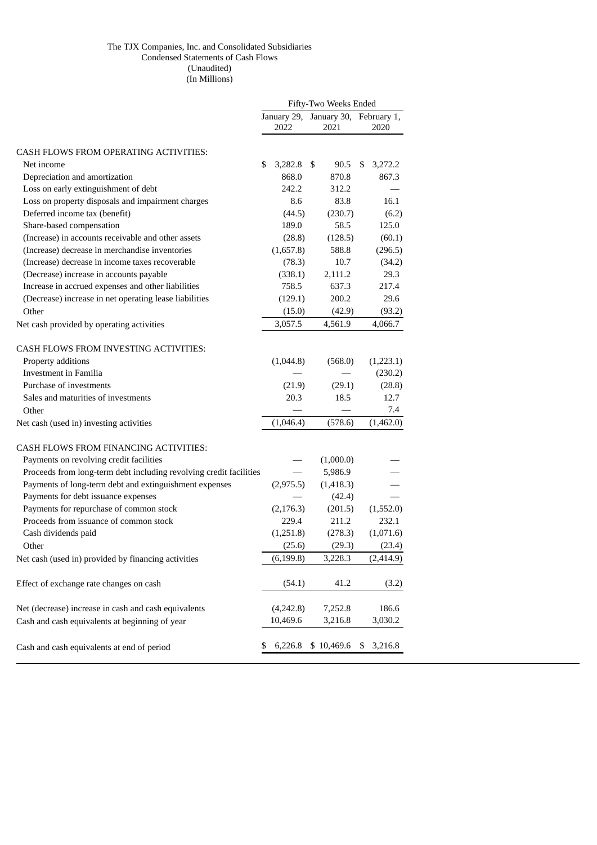#### The TJX Companies, Inc. and Consolidated Subsidiaries Condensed Statements of Cash Flows (Unaudited) (In Millions)

|                                                                    | Fifty-Two Weeks Ended |                     |  |                                 |    |           |
|--------------------------------------------------------------------|-----------------------|---------------------|--|---------------------------------|----|-----------|
|                                                                    |                       | January 29,<br>2022 |  | January 30, February 1,<br>2021 |    | 2020      |
| CASH FLOWS FROM OPERATING ACTIVITIES:                              |                       |                     |  |                                 |    |           |
| Net income                                                         | \$                    | $3,282.8$ \$        |  | 90.5                            | S  | 3,272.2   |
| Depreciation and amortization                                      |                       | 868.0               |  | 870.8                           |    | 867.3     |
| Loss on early extinguishment of debt                               |                       | 242.2               |  | 312.2                           |    |           |
| Loss on property disposals and impairment charges                  |                       | 8.6                 |  | 83.8                            |    | 16.1      |
| Deferred income tax (benefit)                                      |                       | (44.5)              |  | (230.7)                         |    | (6.2)     |
| Share-based compensation                                           |                       | 189.0               |  | 58.5                            |    | 125.0     |
| (Increase) in accounts receivable and other assets                 |                       | (28.8)              |  | (128.5)                         |    | (60.1)    |
| (Increase) decrease in merchandise inventories                     |                       | (1,657.8)           |  | 588.8                           |    | (296.5)   |
| (Increase) decrease in income taxes recoverable                    |                       | (78.3)              |  | 10.7                            |    | (34.2)    |
| (Decrease) increase in accounts payable                            |                       | (338.1)             |  | 2,111.2                         |    | 29.3      |
| Increase in accrued expenses and other liabilities                 |                       | 758.5               |  | 637.3                           |    | 217.4     |
| (Decrease) increase in net operating lease liabilities             |                       | (129.1)             |  | 200.2                           |    | 29.6      |
| Other                                                              |                       | (15.0)              |  | (42.9)                          |    | (93.2)    |
| Net cash provided by operating activities                          |                       | 3,057.5             |  | 4,561.9                         |    | 4,066.7   |
| CASH FLOWS FROM INVESTING ACTIVITIES:                              |                       |                     |  |                                 |    |           |
| Property additions                                                 |                       | (1,044.8)           |  | (568.0)                         |    | (1,223.1) |
| Investment in Familia                                              |                       |                     |  |                                 |    | (230.2)   |
| Purchase of investments                                            |                       | (21.9)              |  | (29.1)                          |    | (28.8)    |
| Sales and maturities of investments                                |                       | 20.3                |  | 18.5                            |    | 12.7      |
| Other                                                              |                       |                     |  |                                 |    | 7.4       |
| Net cash (used in) investing activities                            |                       | (1,046.4)           |  | (578.6)                         |    | (1,462.0) |
| <b>CASH FLOWS FROM FINANCING ACTIVITIES:</b>                       |                       |                     |  |                                 |    |           |
| Payments on revolving credit facilities                            |                       |                     |  | (1,000.0)                       |    |           |
| Proceeds from long-term debt including revolving credit facilities |                       |                     |  | 5,986.9                         |    |           |
| Payments of long-term debt and extinguishment expenses             |                       | (2,975.5)           |  | (1,418.3)                       |    |           |
| Payments for debt issuance expenses                                |                       |                     |  | (42.4)                          |    |           |
| Payments for repurchase of common stock                            |                       | (2, 176.3)          |  | (201.5)                         |    | (1,552.0) |
| Proceeds from issuance of common stock                             |                       | 229.4               |  | 211.2                           |    | 232.1     |
| Cash dividends paid                                                |                       | (1,251.8)           |  | (278.3)                         |    | (1,071.6) |
| Other                                                              |                       | (25.6)              |  | (29.3)                          |    | (23.4)    |
| Net cash (used in) provided by financing activities                |                       | (6, 199.8)          |  | 3,228.3                         |    | (2,414.9) |
| Effect of exchange rate changes on cash                            |                       | (54.1)              |  | 41.2                            |    | (3.2)     |
| Net (decrease) increase in cash and cash equivalents               |                       | (4,242.8)           |  | 7,252.8                         |    | 186.6     |
| Cash and cash equivalents at beginning of year                     |                       | 10,469.6            |  | 3,216.8                         |    | 3,030.2   |
| Cash and cash equivalents at end of period                         | \$                    | 6,226.8             |  | \$10,469.6                      | \$ | 3,216.8   |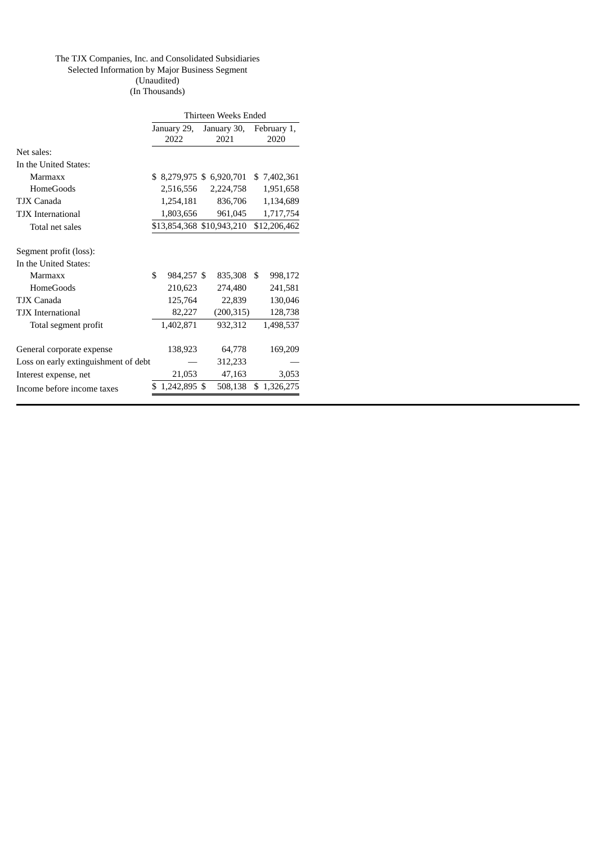#### The TJX Companies, Inc. and Consolidated Subsidiaries Selected Information by Major Business Segment (Unaudited)

(In Thousands)

|                                      | Thirteen Weeks Ended |               |  |                           |    |              |  |  |
|--------------------------------------|----------------------|---------------|--|---------------------------|----|--------------|--|--|
|                                      |                      | January 29,   |  | January 30,               |    | February 1,  |  |  |
|                                      |                      | 2022          |  | 2021                      |    | 2020         |  |  |
| Net sales:                           |                      |               |  |                           |    |              |  |  |
| In the United States:                |                      |               |  |                           |    |              |  |  |
| Marmaxx                              |                      |               |  | \$ 8,279,975 \$ 6,920,701 |    | \$7,402,361  |  |  |
| <b>HomeGoods</b>                     |                      |               |  | 2,516,556 2,224,758       |    | 1,951,658    |  |  |
| TJX Canada                           |                      | 1,254,181     |  | 836,706                   |    | 1,134,689    |  |  |
| <b>TJX</b> International             |                      | 1,803,656     |  | 961,045                   |    | 1,717,754    |  |  |
| Total net sales                      |                      |               |  | \$13,854,368 \$10,943,210 |    | \$12,206,462 |  |  |
| Segment profit (loss):               |                      |               |  |                           |    |              |  |  |
| In the United States:                |                      |               |  |                           |    |              |  |  |
| Marmaxx                              | \$                   | 984,257 \$    |  | 835,308                   | \$ | 998,172      |  |  |
| <b>HomeGoods</b>                     |                      | 210,623       |  | 274,480                   |    | 241,581      |  |  |
| TJX Canada                           |                      | 125,764       |  | 22,839                    |    | 130,046      |  |  |
| <b>TJX</b> International             |                      | 82,227        |  | (200, 315)                |    | 128,738      |  |  |
| Total segment profit                 |                      | 1,402,871     |  | 932,312                   |    | 1,498,537    |  |  |
| General corporate expense            |                      | 138,923       |  | 64,778                    |    | 169,209      |  |  |
| Loss on early extinguishment of debt |                      |               |  | 312,233                   |    |              |  |  |
| Interest expense, net                |                      | 21,053        |  | 47,163                    |    | 3,053        |  |  |
| Income before income taxes           |                      | \$1,242,895\$ |  | 508,138                   |    | \$1,326,275  |  |  |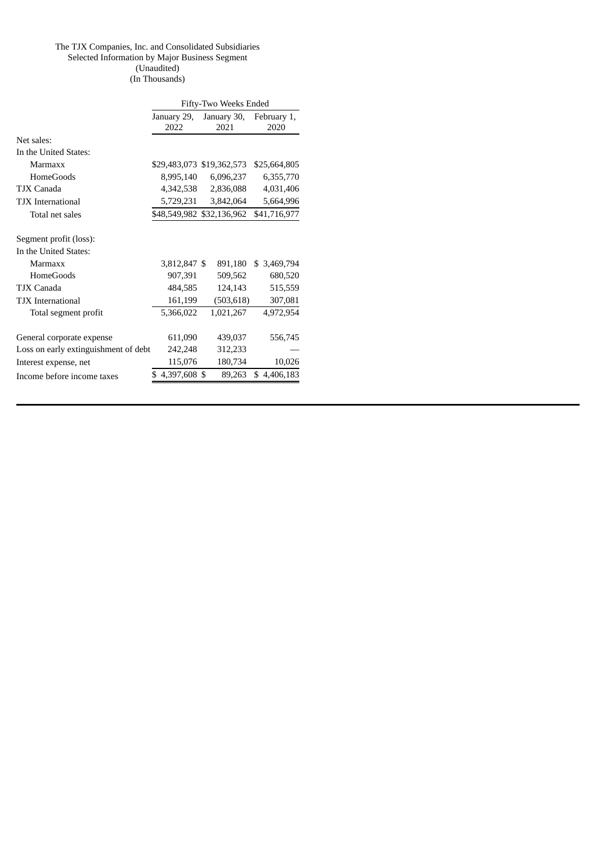#### The TJX Companies, Inc. and Consolidated Subsidiaries Selected Information by Major Business Segment (Unaudited) (In Thousands)

|                                      | Fifty-Two Weeks Ended |                           |              |  |  |  |  |  |
|--------------------------------------|-----------------------|---------------------------|--------------|--|--|--|--|--|
|                                      | January 29,           | January 30,               | February 1,  |  |  |  |  |  |
|                                      | 2022                  | 2021                      | 2020         |  |  |  |  |  |
| Net sales:                           |                       |                           |              |  |  |  |  |  |
| In the United States:                |                       |                           |              |  |  |  |  |  |
| Marmaxx                              |                       | \$29,483,073 \$19,362,573 | \$25,664,805 |  |  |  |  |  |
| <b>HomeGoods</b>                     | 8,995,140             | 6,096,237                 | 6,355,770    |  |  |  |  |  |
| TJX Canada                           | 4,342,538             | 2,836,088                 | 4,031,406    |  |  |  |  |  |
| <b>TJX</b> International             | 5,729,231             | 3,842,064                 | 5,664,996    |  |  |  |  |  |
| Total net sales                      |                       | \$48,549,982 \$32,136,962 | \$41,716,977 |  |  |  |  |  |
| Segment profit (loss):               |                       |                           |              |  |  |  |  |  |
| In the United States:                |                       |                           |              |  |  |  |  |  |
| Marmaxx                              | 3,812,847 \$          | 891,180                   | \$3,469,794  |  |  |  |  |  |
| <b>HomeGoods</b>                     | 907,391               | 509,562                   | 680,520      |  |  |  |  |  |
| TJX Canada                           | 484,585               | 124,143                   | 515,559      |  |  |  |  |  |
| <b>TJX</b> International             | 161,199               | (503, 618)                | 307,081      |  |  |  |  |  |
| Total segment profit                 | 5,366,022             | 1,021,267                 | 4,972,954    |  |  |  |  |  |
| General corporate expense            | 611,090               | 439,037                   | 556,745      |  |  |  |  |  |
| Loss on early extinguishment of debt | 242,248               | 312,233                   |              |  |  |  |  |  |
| Interest expense, net                | 115,076               | 180,734                   | 10,026       |  |  |  |  |  |
| Income before income taxes           | $$4,397,608$ \$       | 89,263                    | \$4,406,183  |  |  |  |  |  |